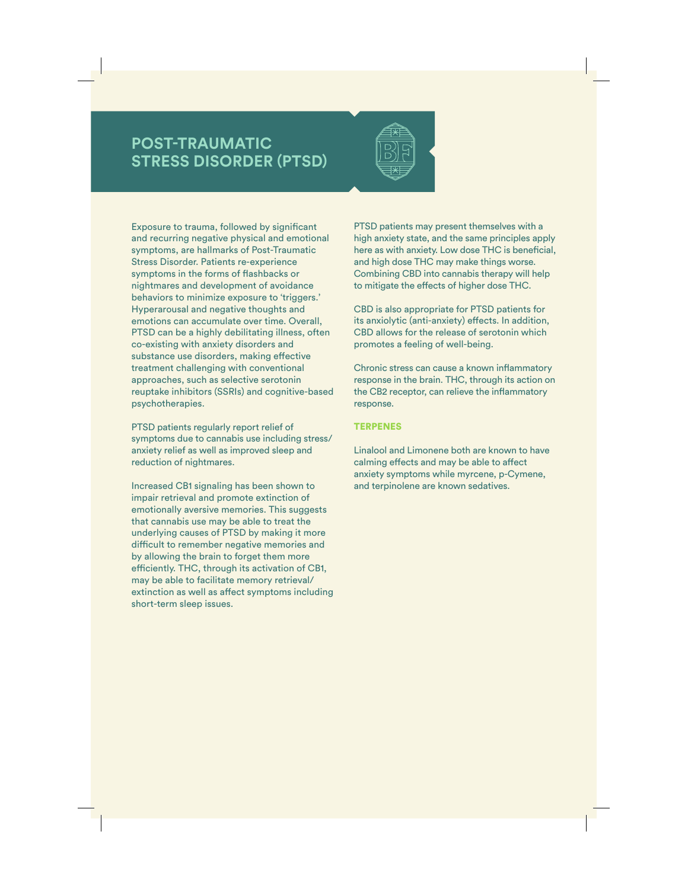## **POST-TRAUMATIC STRESS DISORDER (PTSD)**



Exposure to trauma, followed by significant and recurring negative physical and emotional symptoms, are hallmarks of Post-Traumatic Stress Disorder. Patients re-experience symptoms in the forms of flashbacks or nightmares and development of avoidance behaviors to minimize exposure to 'triggers.' Hyperarousal and negative thoughts and emotions can accumulate over time. Overall, PTSD can be a highly debilitating illness, often co-existing with anxiety disorders and substance use disorders, making effective treatment challenging with conventional approaches, such as selective serotonin reuptake inhibitors (SSRIs) and cognitive-based psychotherapies.

PTSD patients regularly report relief of symptoms due to cannabis use including stress/ anxiety relief as well as improved sleep and reduction of nightmares.

Increased CB1 signaling has been shown to impair retrieval and promote extinction of emotionally aversive memories. This suggests that cannabis use may be able to treat the underlying causes of PTSD by making it more difficult to remember negative memories and by allowing the brain to forget them more efficiently. THC, through its activation of CB1, may be able to facilitate memory retrieval/ extinction as well as affect symptoms including short-term sleep issues.

PTSD patients may present themselves with a high anxiety state, and the same principles apply here as with anxiety. Low dose THC is beneficial, and high dose THC may make things worse. Combining CBD into cannabis therapy will help to mitigate the effects of higher dose THC.

CBD is also appropriate for PTSD patients for its anxiolytic (anti-anxiety) effects. In addition, CBD allows for the release of serotonin which promotes a feeling of well-being.

Chronic stress can cause a known inflammatory response in the brain. THC, through its action on the CB2 receptor, can relieve the inflammatory response.

## **TERPENES**

Linalool and Limonene both are known to have calming effects and may be able to affect anxiety symptoms while myrcene, p-Cymene, and terpinolene are known sedatives.